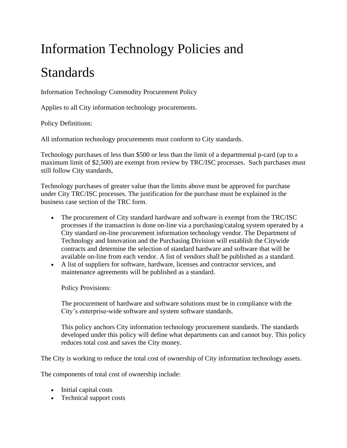## Information Technology Policies and

## Standards

Information Technology Commodity Procurement Policy

Applies to all City information technology procurements.

Policy Definitions:

All information technology procurements must conform to City standards.

Technology purchases of less than \$500 or less than the limit of a departmental p-card (up to a maximum limit of \$2,500) are exempt from review by TRC/ISC processes. Such purchases must still follow City standards,

Technology purchases of greater value than the limits above must be approved for purchase under City TRC/ISC processes. The justification for the purchase must be explained in the business case section of the TRC form.

- The procurement of City standard hardware and software is exempt from the TRC/ISC processes if the transaction is done on-line via a purchasing/catalog system operated by a City standard on-line procurement information technology vendor. The Department of Technology and Innovation and the Purchasing Division will establish the Citywide contracts and determine the selection of standard hardware and software that will be available on-line from each vendor. A list of vendors shall be published as a standard.
- A list of suppliers for software, hardware, licenses and contractor services, and maintenance agreements will be published as a standard.

Policy Provisions:

The procurement of hardware and software solutions must be in compliance with the City's enterprise-wide software and system software standards.

This policy anchors City information technology procurement standards. The standards developed under this policy will define what departments can and cannot buy. This policy reduces total cost and saves the City money.

The City is working to reduce the total cost of ownership of City information technology assets.

The components of total cost of ownership include:

- Initial capital costs
- Technical support costs